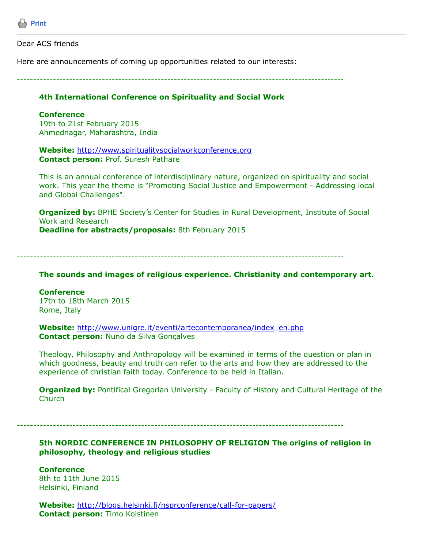

#### Dear ACS friends

Here are announcements of coming up opportunities related to our interests:

----------------------------------------------------------------------------------------------------

# **4th International Conference on Spirituality and Social Work**

### **Conference**

19th to 21st February 2015 Ahmednagar, Maharashtra, India

**Website:** [http://www.spiritualitysocialworkconference.org](http://www.spiritualitysocialworkconference.org/) **Contact person:** Prof. Suresh Pathare

This is an annual conference of interdisciplinary nature, organized on spirituality and social work. This year the theme is "Promoting Social Justice and Empowerment - Addressing local and Global Challenges".

**Organized by:** BPHE Society's Center for Studies in Rural Development, Institute of Social Work and Research **Deadline for abstracts/proposals:** 8th February 2015

----------------------------------------------------------------------------------------------------

**The sounds and images of religious experience. Christianity and contemporary art.**

## **Conference** 17th to 18th March 2015 Rome, Italy

**Website:** [http://www.unigre.it/eventi/artecontemporanea/index\\_en.php](http://www.unigre.it/eventi/artecontemporanea/index_en.php) **Contact person:** Nuno da Silva Gonçalves

Theology, Philosophy and Anthropology will be examined in terms of the question or plan in which goodness, beauty and truth can refer to the arts and how they are addressed to the experience of christian faith today. Conference to be held in Italian.

**Organized by:** Pontifical Gregorian University - Faculty of History and Cultural Heritage of the **Church** 

----------------------------------------------------------------------------------------------------

# **5th NORDIC CONFERENCE IN PHILOSOPHY OF RELIGION The origins of religion in philosophy, theology and religious studies**

**Conference** 8th to 11th June 2015 Helsinki, Finland

**Website:** <http://blogs.helsinki.fi/nsprconference/call-for-papers/> **Contact person:** Timo Koistinen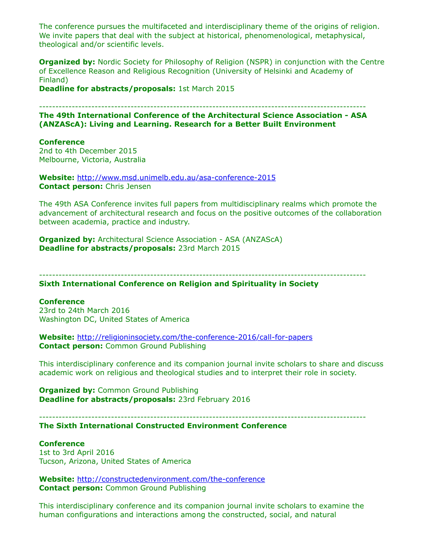The conference pursues the multifaceted and interdisciplinary theme of the origins of religion. We invite papers that deal with the subject at historical, phenomenological, metaphysical, theological and/or scientific levels.

**Organized by:** Nordic Society for Philosophy of Religion (NSPR) in conjunction with the Centre of Excellence Reason and Religious Recognition (University of Helsinki and Academy of Finland)

**Deadline for abstracts/proposals:** 1st March 2015

---------------------------------------------------------------------------------------------------- **The 49th International Conference of the Architectural Science Association - ASA (ANZAScA): Living and Learning. Research for a Better Built Environment**

### **Conference**

2nd to 4th December 2015 Melbourne, Victoria, Australia

**Website:** <http://www.msd.unimelb.edu.au/asa-conference-2015> **Contact person:** Chris Jensen

The 49th ASA Conference invites full papers from multidisciplinary realms which promote the advancement of architectural research and focus on the positive outcomes of the collaboration between academia, practice and industry.

**Organized by:** Architectural Science Association - ASA (ANZAScA) **Deadline for abstracts/proposals:** 23rd March 2015

---------------------------------------------------------------------------------------------------- **Sixth International Conference on Religion and Spirituality in Society**

#### **Conference**

23rd to 24th March 2016 Washington DC, United States of America

**Website:** <http://religioninsociety.com/the-conference-2016/call-for-papers> **Contact person:** Common Ground Publishing

This interdisciplinary conference and its companion journal invite scholars to share and discuss academic work on religious and theological studies and to interpret their role in society.

**Organized by: Common Ground Publishing Deadline for abstracts/proposals:** 23rd February 2016

----------------------------------------------------------------------------------------------------

### **The Sixth International Constructed Environment Conference**

## **Conference**

1st to 3rd April 2016 Tucson, Arizona, United States of America

**Website:** <http://constructedenvironment.com/the-conference> **Contact person:** Common Ground Publishing

This interdisciplinary conference and its companion journal invite scholars to examine the human configurations and interactions among the constructed, social, and natural